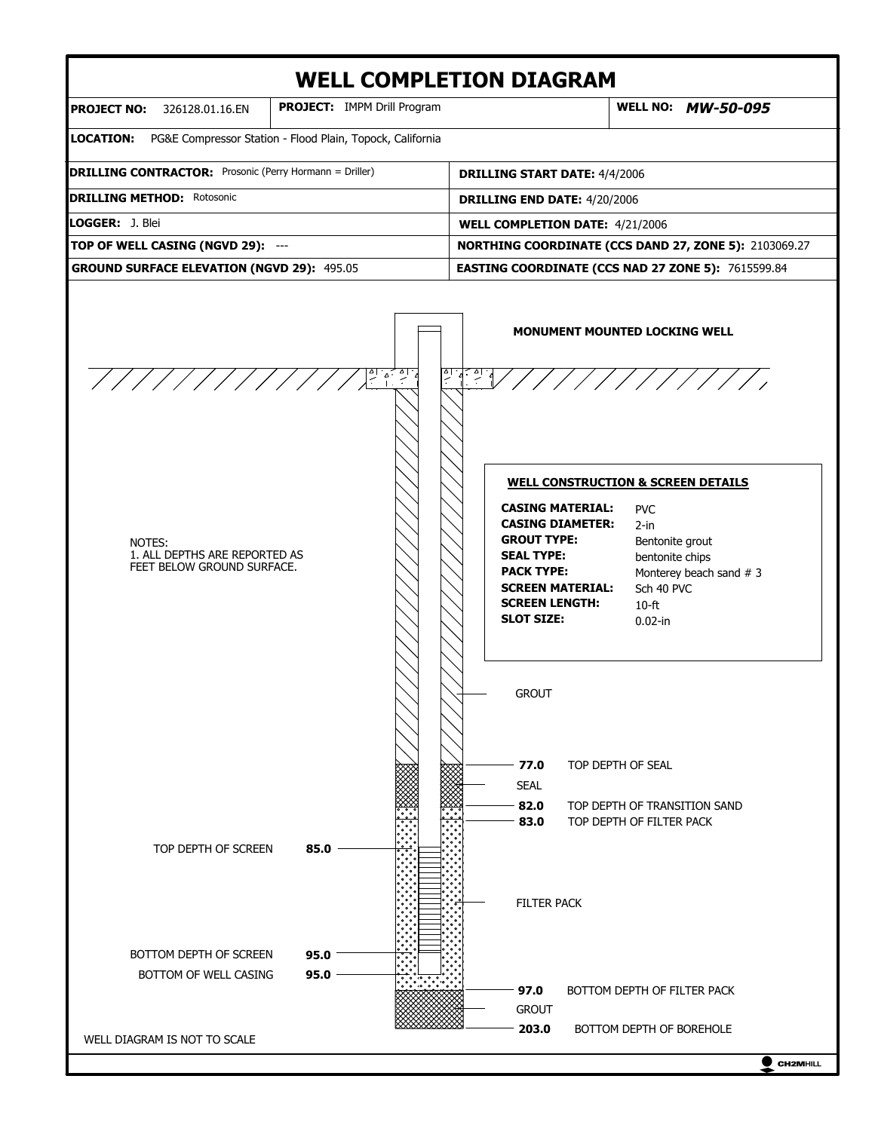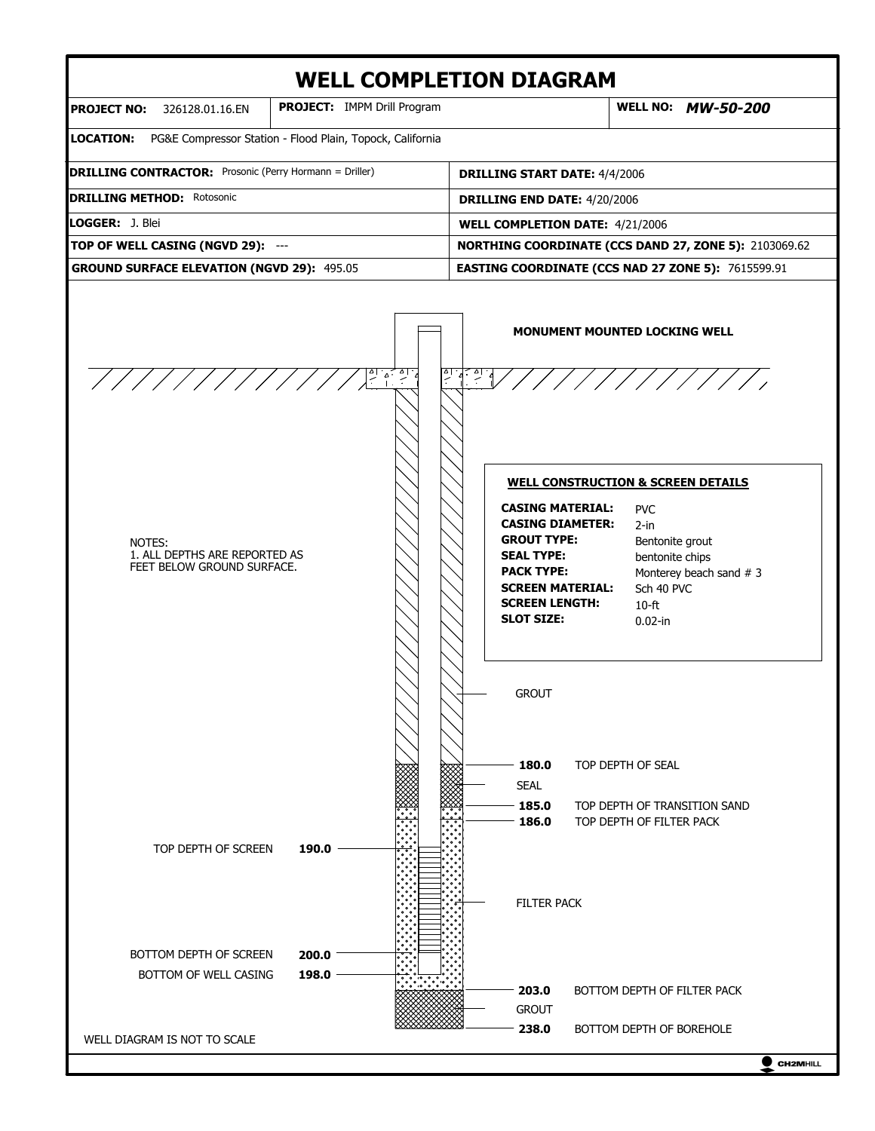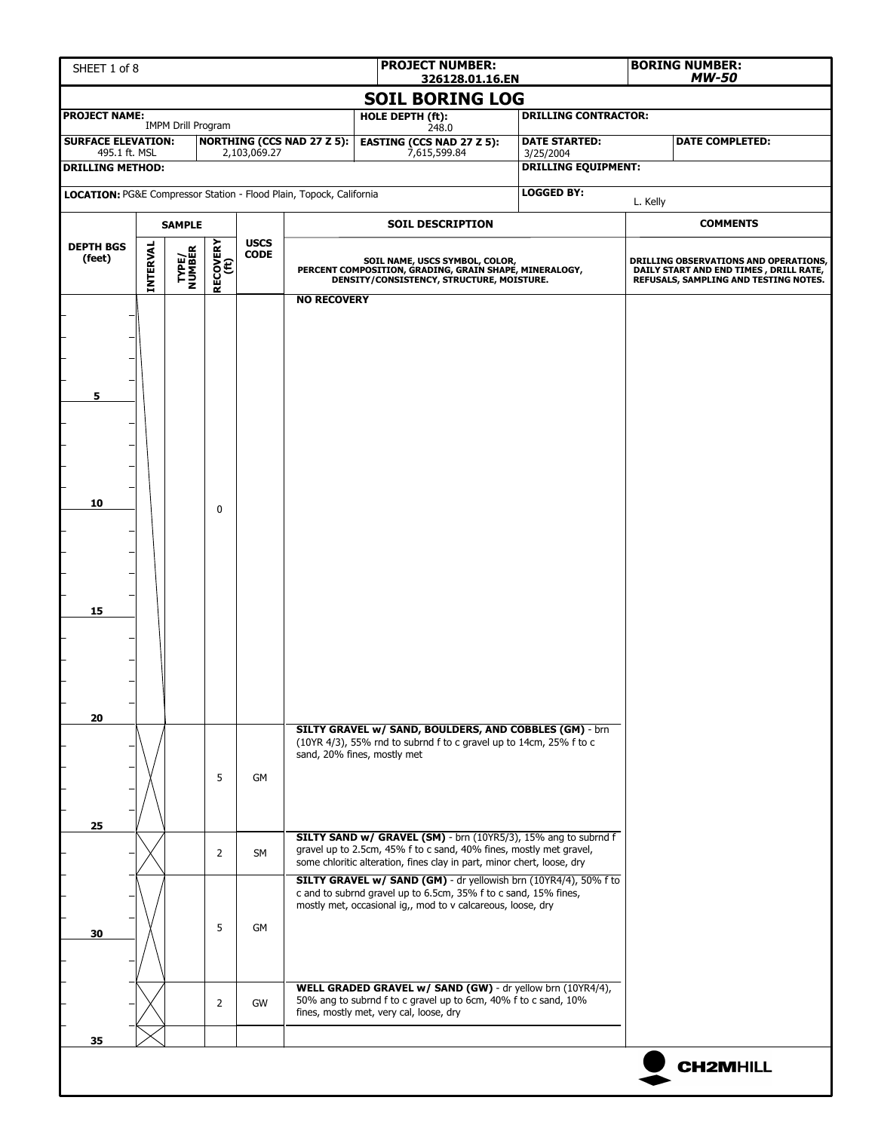| <b>PROJECT NUMBER:</b><br>SHEET 1 of 8<br>326128.01.16.EN |                 |                           |                  |              |                                                                     |                                                                                                                                                                                                                |  |                                         |          | <b>BORING NUMBER:</b><br><b>MW-50</b>                                                                                    |
|-----------------------------------------------------------|-----------------|---------------------------|------------------|--------------|---------------------------------------------------------------------|----------------------------------------------------------------------------------------------------------------------------------------------------------------------------------------------------------------|--|-----------------------------------------|----------|--------------------------------------------------------------------------------------------------------------------------|
|                                                           |                 |                           |                  |              |                                                                     | <b>SOIL BORING LOG</b>                                                                                                                                                                                         |  |                                         |          |                                                                                                                          |
| <b>PROJECT NAME:</b>                                      |                 | <b>IMPM Drill Program</b> |                  |              |                                                                     | HOLE DEPTH (ft):<br>248.0                                                                                                                                                                                      |  | <b>DRILLING CONTRACTOR:</b>             |          |                                                                                                                          |
| <b>SURFACE ELEVATION:</b><br>495.1 ft. MSL                |                 |                           |                  | 2,103,069.27 | <b>NORTHING (CCS NAD 27 Z 5):</b>                                   | <b>EASTING (CCS NAD 27 Z 5):</b><br>7,615,599.84                                                                                                                                                               |  | <b>DATE STARTED:</b>                    |          | <b>DATE COMPLETED:</b>                                                                                                   |
| <b>DRILLING METHOD:</b>                                   |                 |                           |                  |              |                                                                     |                                                                                                                                                                                                                |  | 3/25/2004<br><b>DRILLING EQUIPMENT:</b> |          |                                                                                                                          |
|                                                           |                 |                           |                  |              | LOCATION: PG&E Compressor Station - Flood Plain, Topock, California |                                                                                                                                                                                                                |  | <b>LOGGED BY:</b>                       |          |                                                                                                                          |
|                                                           |                 | <b>SAMPLE</b>             |                  |              |                                                                     | <b>SOIL DESCRIPTION</b>                                                                                                                                                                                        |  |                                         | L. Kelly | <b>COMMENTS</b>                                                                                                          |
| <b>DEPTH BGS</b>                                          |                 |                           |                  | <b>USCS</b>  |                                                                     |                                                                                                                                                                                                                |  |                                         |          |                                                                                                                          |
| (feet)                                                    | <b>INTERVAL</b> | TYPE/<br>NUMBER           | RECOVERY<br>(ft) | <b>CODE</b>  |                                                                     | SOIL NAME, USCS SYMBOL, COLOR,<br>PERCENT COMPOSITION, GRADING, GRAIN SHAPE, MINERALOGY,<br>DENSITY/CONSISTENCY, STRUCTURE, MOISTURE.                                                                          |  |                                         |          | DRILLING OBSERVATIONS AND OPERATIONS,<br>DAILY START AND END TIMES, DRILL RATE,<br>REFUSALS, SAMPLING AND TESTING NOTES. |
|                                                           |                 |                           |                  |              | <b>NO RECOVERY</b>                                                  |                                                                                                                                                                                                                |  |                                         |          |                                                                                                                          |
|                                                           |                 |                           |                  |              |                                                                     |                                                                                                                                                                                                                |  |                                         |          |                                                                                                                          |
|                                                           |                 |                           |                  |              |                                                                     |                                                                                                                                                                                                                |  |                                         |          |                                                                                                                          |
|                                                           |                 |                           |                  |              |                                                                     |                                                                                                                                                                                                                |  |                                         |          |                                                                                                                          |
| 5                                                         |                 |                           |                  |              |                                                                     |                                                                                                                                                                                                                |  |                                         |          |                                                                                                                          |
|                                                           |                 |                           |                  |              |                                                                     |                                                                                                                                                                                                                |  |                                         |          |                                                                                                                          |
|                                                           |                 |                           |                  |              |                                                                     |                                                                                                                                                                                                                |  |                                         |          |                                                                                                                          |
|                                                           |                 |                           |                  |              |                                                                     |                                                                                                                                                                                                                |  |                                         |          |                                                                                                                          |
| 10                                                        |                 |                           | 0                |              |                                                                     |                                                                                                                                                                                                                |  |                                         |          |                                                                                                                          |
|                                                           |                 |                           |                  |              |                                                                     |                                                                                                                                                                                                                |  |                                         |          |                                                                                                                          |
|                                                           |                 |                           |                  |              |                                                                     |                                                                                                                                                                                                                |  |                                         |          |                                                                                                                          |
|                                                           |                 |                           |                  |              |                                                                     |                                                                                                                                                                                                                |  |                                         |          |                                                                                                                          |
|                                                           |                 |                           |                  |              |                                                                     |                                                                                                                                                                                                                |  |                                         |          |                                                                                                                          |
| 15                                                        |                 |                           |                  |              |                                                                     |                                                                                                                                                                                                                |  |                                         |          |                                                                                                                          |
|                                                           |                 |                           |                  |              |                                                                     |                                                                                                                                                                                                                |  |                                         |          |                                                                                                                          |
|                                                           |                 |                           |                  |              |                                                                     |                                                                                                                                                                                                                |  |                                         |          |                                                                                                                          |
|                                                           |                 |                           |                  |              |                                                                     |                                                                                                                                                                                                                |  |                                         |          |                                                                                                                          |
| 20                                                        |                 |                           |                  |              |                                                                     | SILTY GRAVEL w/ SAND, BOULDERS, AND COBBLES (GM) - brn                                                                                                                                                         |  |                                         |          |                                                                                                                          |
|                                                           |                 |                           |                  |              |                                                                     | (10YR 4/3), 55% rnd to subrnd f to c gravel up to 14cm, 25% f to c<br>sand, 20% fines, mostly met                                                                                                              |  |                                         |          |                                                                                                                          |
|                                                           |                 |                           | 5                | GM           |                                                                     |                                                                                                                                                                                                                |  |                                         |          |                                                                                                                          |
|                                                           |                 |                           |                  |              |                                                                     |                                                                                                                                                                                                                |  |                                         |          |                                                                                                                          |
| 25                                                        |                 |                           |                  |              |                                                                     |                                                                                                                                                                                                                |  |                                         |          |                                                                                                                          |
|                                                           |                 |                           | $\overline{2}$   | <b>SM</b>    |                                                                     | SILTY SAND w/ GRAVEL (SM) - brn (10YR5/3), 15% ang to subrnd f<br>gravel up to 2.5cm, 45% f to c sand, 40% fines, mostly met gravel,<br>some chloritic alteration, fines clay in part, minor chert, loose, dry |  |                                         |          |                                                                                                                          |
|                                                           |                 |                           |                  |              |                                                                     | SILTY GRAVEL w/ SAND (GM) - dr yellowish brn (10YR4/4), 50% f to<br>c and to subrnd gravel up to 6.5cm, 35% f to c sand, 15% fines,                                                                            |  |                                         |          |                                                                                                                          |
|                                                           |                 |                           |                  |              |                                                                     | mostly met, occasional ig,, mod to v calcareous, loose, dry                                                                                                                                                    |  |                                         |          |                                                                                                                          |
| 30                                                        |                 |                           | 5                | GM           |                                                                     |                                                                                                                                                                                                                |  |                                         |          |                                                                                                                          |
|                                                           |                 |                           |                  |              |                                                                     |                                                                                                                                                                                                                |  |                                         |          |                                                                                                                          |
|                                                           |                 |                           |                  |              |                                                                     | WELL GRADED GRAVEL w/ SAND (GW) - dr yellow brn (10YR4/4),                                                                                                                                                     |  |                                         |          |                                                                                                                          |
|                                                           |                 |                           | 2                | GW           |                                                                     | 50% ang to subrnd f to c gravel up to 6cm, 40% f to c sand, 10%<br>fines, mostly met, very cal, loose, dry                                                                                                     |  |                                         |          |                                                                                                                          |
| 35                                                        |                 |                           |                  |              |                                                                     |                                                                                                                                                                                                                |  |                                         |          |                                                                                                                          |
|                                                           |                 |                           |                  |              |                                                                     |                                                                                                                                                                                                                |  |                                         |          | <b>CH2MHILL</b>                                                                                                          |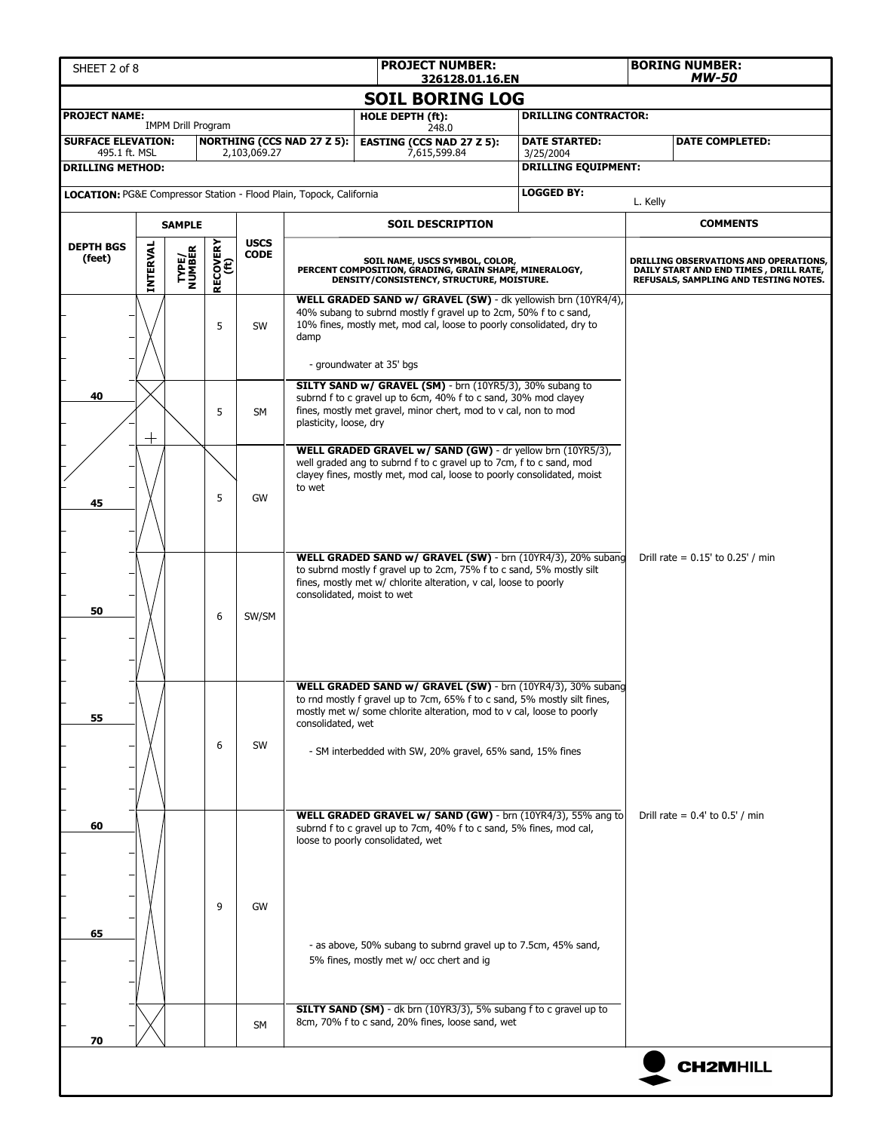| <b>PROJECT NUMBER:</b><br>SHEET 2 of 8<br>326128.01.16.EN |                                 |                           |                  |                            |                                                                                                |                                                                                                                                       |                                           |  |                                                                                                                                                                                                                                                                               | <b>BORING NUMBER:</b><br>MW-50 |                                                                                                                           |  |  |
|-----------------------------------------------------------|---------------------------------|---------------------------|------------------|----------------------------|------------------------------------------------------------------------------------------------|---------------------------------------------------------------------------------------------------------------------------------------|-------------------------------------------|--|-------------------------------------------------------------------------------------------------------------------------------------------------------------------------------------------------------------------------------------------------------------------------------|--------------------------------|---------------------------------------------------------------------------------------------------------------------------|--|--|
|                                                           |                                 |                           |                  |                            |                                                                                                |                                                                                                                                       | <b>SOIL BORING LOG</b>                    |  |                                                                                                                                                                                                                                                                               |                                |                                                                                                                           |  |  |
| <b>PROJECT NAME:</b>                                      |                                 | <b>IMPM Drill Program</b> |                  |                            |                                                                                                | HOLE DEPTH (ft):                                                                                                                      |                                           |  | <b>DRILLING CONTRACTOR:</b>                                                                                                                                                                                                                                                   |                                |                                                                                                                           |  |  |
| <b>SURFACE ELEVATION:</b>                                 |                                 |                           |                  |                            | <b>NORTHING (CCS NAD 27 Z 5):</b>                                                              |                                                                                                                                       | 248.0<br><b>EASTING (CCS NAD 27 Z 5):</b> |  | <b>DATE STARTED:</b>                                                                                                                                                                                                                                                          |                                | <b>DATE COMPLETED:</b>                                                                                                    |  |  |
| 495.1 ft. MSL<br><b>DRILLING METHOD:</b>                  |                                 |                           |                  | 2,103,069.27               |                                                                                                |                                                                                                                                       | 7,615,599.84                              |  | 3/25/2004<br><b>DRILLING EQUIPMENT:</b>                                                                                                                                                                                                                                       |                                |                                                                                                                           |  |  |
|                                                           |                                 |                           |                  |                            | <b>LOCATION: PG&amp;E Compressor Station - Flood Plain, Topock, California</b>                 |                                                                                                                                       |                                           |  | <b>LOGGED BY:</b>                                                                                                                                                                                                                                                             |                                |                                                                                                                           |  |  |
|                                                           |                                 |                           |                  |                            |                                                                                                |                                                                                                                                       |                                           |  |                                                                                                                                                                                                                                                                               | L. Kelly                       |                                                                                                                           |  |  |
|                                                           |                                 | <b>SAMPLE</b>             |                  |                            |                                                                                                |                                                                                                                                       | <b>SOIL DESCRIPTION</b>                   |  |                                                                                                                                                                                                                                                                               |                                | <b>COMMENTS</b>                                                                                                           |  |  |
| <b>DEPTH BGS</b><br>(feet)                                | INTERVAL                        | TYPE/<br>NUMBER           | RECOVERY<br>(ft) | <b>USCS</b><br><b>CODE</b> |                                                                                                | SOIL NAME, USCS SYMBOL, COLOR,<br>PERCENT COMPOSITION, GRADING, GRAIN SHAPE, MINERALOGY,<br>DENSITY/CONSISTENCY, STRUCTURE, MOISTURE. |                                           |  |                                                                                                                                                                                                                                                                               |                                | DRILLING OBSERVATIONS AND OPERATIONS,<br>DAILY START AND END TIMES , DRILL RATE,<br>REFUSALS, SAMPLING AND TESTING NOTES. |  |  |
|                                                           |                                 |                           | 5                | SW                         | damp                                                                                           | - groundwater at 35' bgs                                                                                                              |                                           |  | WELL GRADED SAND w/ GRAVEL (SW) - dk yellowish brn (10YR4/4),<br>40% subang to subrnd mostly f gravel up to 2cm, 50% f to c sand,<br>10% fines, mostly met, mod cal, loose to poorly consolidated, dry to                                                                     |                                |                                                                                                                           |  |  |
| 40                                                        | $\hspace{.1cm} + \hspace{.1cm}$ |                           | 5                | <b>SM</b>                  | fines, mostly met gravel, minor chert, mod to v cal, non to mod<br>plasticity, loose, dry      |                                                                                                                                       |                                           |  | SILTY SAND w/ GRAVEL (SM) - brn (10YR5/3), 30% subang to<br>subrnd f to c gravel up to 6cm, 40% f to c sand, 30% mod clayey                                                                                                                                                   |                                |                                                                                                                           |  |  |
| 45                                                        |                                 |                           | 5                | GW                         | to wet                                                                                         |                                                                                                                                       |                                           |  | WELL GRADED GRAVEL w/ SAND (GW) - dr yellow brn (10YR5/3),<br>well graded ang to subrnd f to c gravel up to 7cm, f to c sand, mod<br>clayey fines, mostly met, mod cal, loose to poorly consolidated, moist                                                                   |                                |                                                                                                                           |  |  |
| 50                                                        |                                 |                           | 6                | SW/SM                      | fines, mostly met w/ chlorite alteration, v cal, loose to poorly<br>consolidated, moist to wet |                                                                                                                                       |                                           |  | WELL GRADED SAND w/ GRAVEL (SW) - brn (10YR4/3), 20% subang<br>to subrnd mostly f gravel up to 2cm, 75% f to c sand, 5% mostly silt                                                                                                                                           |                                | Drill rate = $0.15'$ to $0.25'$ / min                                                                                     |  |  |
| 55                                                        |                                 |                           | 6                | SW                         | consolidated, wet                                                                              |                                                                                                                                       |                                           |  | WELL GRADED SAND w/ GRAVEL (SW) - brn (10YR4/3), 30% subang<br>to rnd mostly f gravel up to 7cm, 65% f to c sand, 5% mostly silt fines,<br>mostly met w/ some chlorite alteration, mod to v cal, loose to poorly<br>- SM interbedded with SW, 20% gravel, 65% sand, 15% fines |                                |                                                                                                                           |  |  |
| 60                                                        |                                 |                           |                  |                            | loose to poorly consolidated, wet                                                              |                                                                                                                                       |                                           |  | WELL GRADED GRAVEL w/ SAND (GW) - brn (10YR4/3), 55% ang to<br>subrnd f to c gravel up to 7cm, 40% f to c sand, 5% fines, mod cal,                                                                                                                                            |                                | Drill rate = $0.4'$ to $0.5'$ / min                                                                                       |  |  |
| 65                                                        |                                 |                           | 9                | GW                         |                                                                                                |                                                                                                                                       | 5% fines, mostly met w/ occ chert and ig  |  | - as above, 50% subang to subrnd gravel up to 7.5cm, 45% sand,                                                                                                                                                                                                                |                                |                                                                                                                           |  |  |
| 70                                                        |                                 |                           |                  | SM                         | 8cm, 70% f to c sand, 20% fines, loose sand, wet                                               |                                                                                                                                       |                                           |  | <b>SILTY SAND (SM)</b> - dk brn (10YR3/3), 5% subang f to c gravel up to                                                                                                                                                                                                      |                                |                                                                                                                           |  |  |
|                                                           |                                 |                           |                  |                            |                                                                                                |                                                                                                                                       |                                           |  |                                                                                                                                                                                                                                                                               |                                | <b>CH2MHILL</b>                                                                                                           |  |  |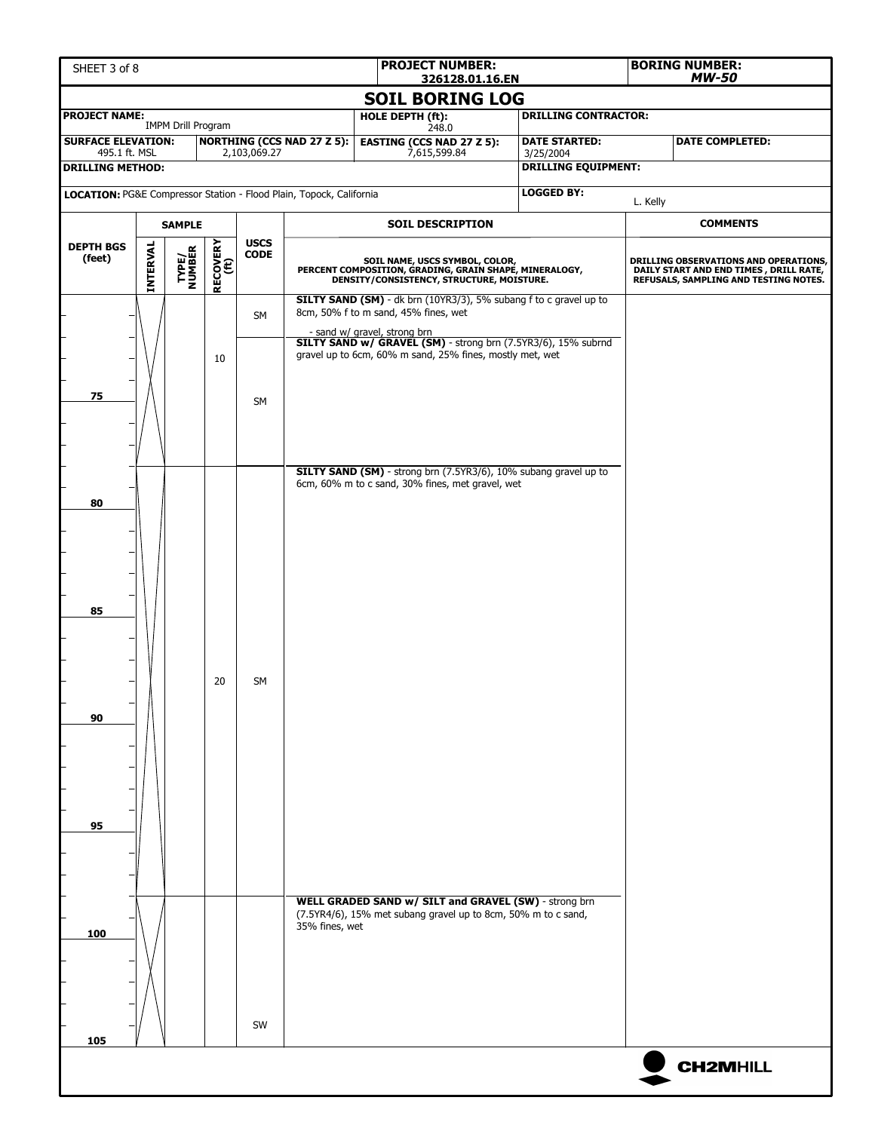| SHEET 3 of 8                               |                 |                           |                  |                                                                     | <b>PROJECT NUMBER:</b><br>326128.01.16.EN                            |                                                                                                                                       |                                                               |                                                                   | <b>BORING NUMBER:</b><br><b>MW-50</b> |                                                                                                                           |  |
|--------------------------------------------|-----------------|---------------------------|------------------|---------------------------------------------------------------------|----------------------------------------------------------------------|---------------------------------------------------------------------------------------------------------------------------------------|---------------------------------------------------------------|-------------------------------------------------------------------|---------------------------------------|---------------------------------------------------------------------------------------------------------------------------|--|
|                                            |                 |                           |                  |                                                                     |                                                                      |                                                                                                                                       | <b>SOIL BORING LOG</b>                                        |                                                                   |                                       |                                                                                                                           |  |
| <b>PROJECT NAME:</b>                       |                 | <b>IMPM Drill Program</b> |                  |                                                                     |                                                                      | HOLE DEPTH (ft):                                                                                                                      | 248.0                                                         | <b>DRILLING CONTRACTOR:</b>                                       |                                       |                                                                                                                           |  |
| <b>SURFACE ELEVATION:</b><br>495.1 ft. MSL |                 |                           |                  | 2,103,069.27                                                        | <b>NORTHING (CCS NAD 27 Z 5):</b>                                    | 7,615,599.84                                                                                                                          | <b>EASTING (CCS NAD 27 Z 5):</b>                              | <b>DATE STARTED:</b>                                              |                                       | <b>DATE COMPLETED:</b>                                                                                                    |  |
| <b>DRILLING METHOD:</b>                    |                 |                           |                  |                                                                     |                                                                      |                                                                                                                                       |                                                               | 3/25/2004<br><b>DRILLING EQUIPMENT:</b>                           |                                       |                                                                                                                           |  |
|                                            |                 |                           |                  | LOCATION: PG&E Compressor Station - Flood Plain, Topock, California |                                                                      |                                                                                                                                       | <b>LOGGED BY:</b>                                             |                                                                   |                                       |                                                                                                                           |  |
|                                            |                 |                           |                  |                                                                     |                                                                      |                                                                                                                                       |                                                               |                                                                   | L. Kelly                              | <b>COMMENTS</b>                                                                                                           |  |
| <b>DEPTH BGS</b>                           |                 | <b>SAMPLE</b>             |                  | <b>USCS</b>                                                         |                                                                      |                                                                                                                                       | <b>SOIL DESCRIPTION</b>                                       |                                                                   |                                       |                                                                                                                           |  |
| (feet)                                     | <b>INTERVAL</b> | TYPE/<br>NUMBER           | RECOVERY<br>(ft) | <b>CODE</b>                                                         |                                                                      | SOIL NAME, USCS SYMBOL, COLOR,<br>PERCENT COMPOSITION, GRADING, GRAIN SHAPE, MINERALOGY,<br>DENSITY/CONSISTENCY, STRUCTURE, MOISTURE. |                                                               |                                                                   |                                       | DRILLING OBSERVATIONS AND OPERATIONS,<br>DAILY START AND END TIMES , DRILL RATE,<br>REFUSALS, SAMPLING AND TESTING NOTES. |  |
|                                            |                 |                           |                  | <b>SM</b>                                                           | 8cm, 50% f to m sand, 45% fines, wet<br>- sand w/ gravel, strong brn |                                                                                                                                       |                                                               | SILTY SAND (SM) - dk brn (10YR3/3), 5% subang f to c gravel up to |                                       |                                                                                                                           |  |
| 75                                         |                 |                           | 10               | <b>SM</b>                                                           |                                                                      |                                                                                                                                       | gravel up to 6cm, 60% m sand, 25% fines, mostly met, wet      | SILTY SAND w/ GRAVEL (SM) - strong brn (7.5YR3/6), 15% subrnd     |                                       |                                                                                                                           |  |
| 80                                         |                 |                           |                  |                                                                     |                                                                      |                                                                                                                                       | 6cm, 60% m to c sand, 30% fines, met gravel, wet              | SILTY SAND (SM) - strong brn (7.5YR3/6), 10% subang gravel up to  |                                       |                                                                                                                           |  |
| 85                                         |                 |                           |                  |                                                                     |                                                                      |                                                                                                                                       |                                                               |                                                                   |                                       |                                                                                                                           |  |
| 90                                         |                 |                           | 20               | SM                                                                  |                                                                      |                                                                                                                                       |                                                               |                                                                   |                                       |                                                                                                                           |  |
| 95                                         |                 |                           |                  |                                                                     |                                                                      |                                                                                                                                       |                                                               |                                                                   |                                       |                                                                                                                           |  |
| 100                                        |                 |                           |                  |                                                                     | 35% fines, wet                                                       |                                                                                                                                       | (7.5YR4/6), 15% met subang gravel up to 8cm, 50% m to c sand, | WELL GRADED SAND w/ SILT and GRAVEL (SW) - strong brn             |                                       |                                                                                                                           |  |
| 105                                        |                 |                           |                  | SW                                                                  |                                                                      |                                                                                                                                       |                                                               |                                                                   |                                       | <b>CH2MHILL</b>                                                                                                           |  |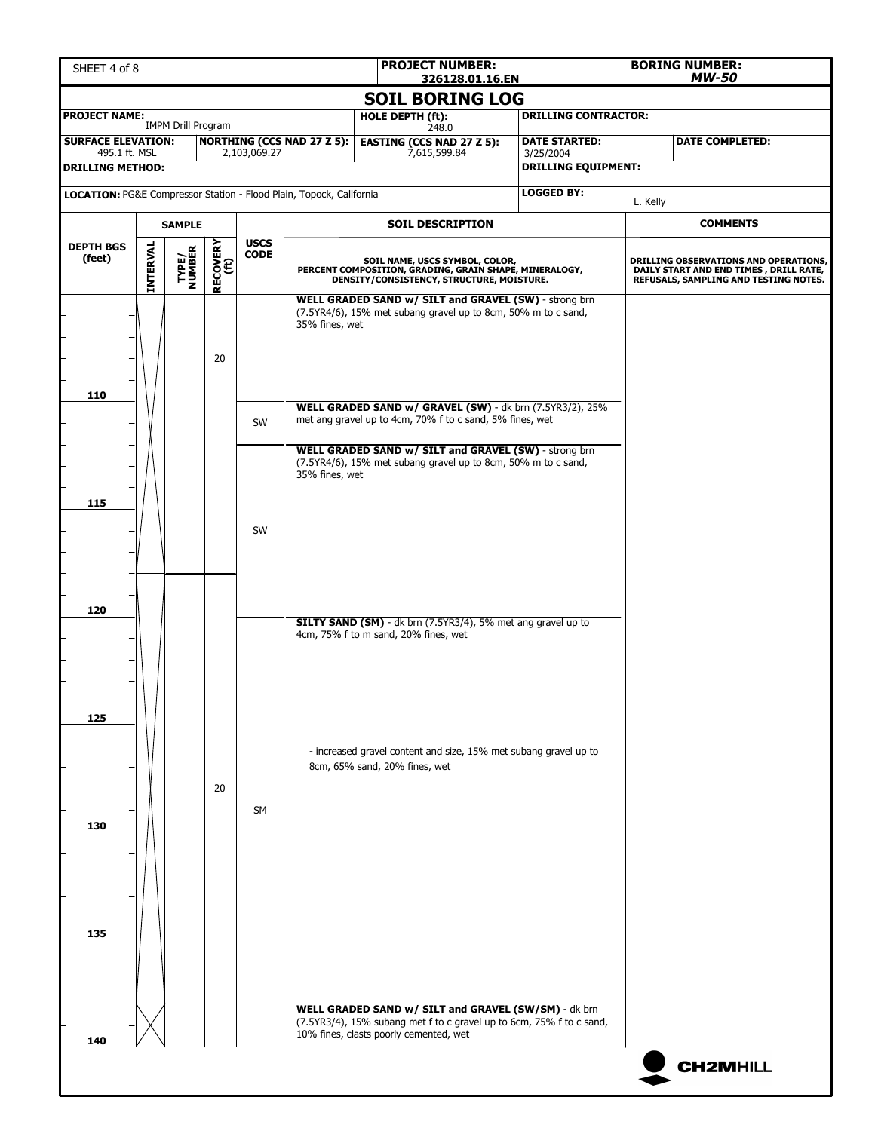| SHEET 4 of 8                                                        | <b>PROJECT NUMBER:</b><br>326128.01.16.EN |                           |                  |              |                                                                            |                                                                                                                                                                                    |                                                                                                                                       |                                                                      |          | <b>BORING NUMBER:</b><br>MW-50                                                                                           |  |  |                               |                                                                  |  |  |
|---------------------------------------------------------------------|-------------------------------------------|---------------------------|------------------|--------------|----------------------------------------------------------------------------|------------------------------------------------------------------------------------------------------------------------------------------------------------------------------------|---------------------------------------------------------------------------------------------------------------------------------------|----------------------------------------------------------------------|----------|--------------------------------------------------------------------------------------------------------------------------|--|--|-------------------------------|------------------------------------------------------------------|--|--|
|                                                                     |                                           |                           |                  |              |                                                                            |                                                                                                                                                                                    | <b>SOIL BORING LOG</b>                                                                                                                |                                                                      |          |                                                                                                                          |  |  |                               |                                                                  |  |  |
| <b>PROJECT NAME:</b>                                                |                                           | <b>IMPM Drill Program</b> |                  |              |                                                                            | HOLE DEPTH (ft):                                                                                                                                                                   | 248.0                                                                                                                                 | <b>DRILLING CONTRACTOR:</b>                                          |          |                                                                                                                          |  |  |                               |                                                                  |  |  |
| <b>SURFACE ELEVATION:</b><br>495.1 ft. MSL                          |                                           |                           |                  | 2,103,069.27 | <b>NORTHING (CCS NAD 27 Z 5):</b>                                          |                                                                                                                                                                                    | <b>EASTING (CCS NAD 27 Z 5):</b><br>7,615,599.84                                                                                      | <b>DATE STARTED:</b><br>3/25/2004                                    |          | <b>DATE COMPLETED:</b>                                                                                                   |  |  |                               |                                                                  |  |  |
| <b>DRILLING METHOD:</b>                                             |                                           |                           |                  |              |                                                                            |                                                                                                                                                                                    |                                                                                                                                       | <b>DRILLING EQUIPMENT:</b>                                           |          |                                                                                                                          |  |  |                               |                                                                  |  |  |
| LOCATION: PG&E Compressor Station - Flood Plain, Topock, California |                                           |                           |                  |              |                                                                            |                                                                                                                                                                                    |                                                                                                                                       | <b>LOGGED BY:</b>                                                    | L. Kelly |                                                                                                                          |  |  |                               |                                                                  |  |  |
|                                                                     |                                           | <b>SAMPLE</b>             |                  |              |                                                                            |                                                                                                                                                                                    | <b>SOIL DESCRIPTION</b>                                                                                                               |                                                                      |          | <b>COMMENTS</b>                                                                                                          |  |  |                               |                                                                  |  |  |
| <b>DEPTH BGS</b>                                                    |                                           |                           |                  | <b>USCS</b>  |                                                                            |                                                                                                                                                                                    |                                                                                                                                       |                                                                      |          |                                                                                                                          |  |  |                               |                                                                  |  |  |
| (feet)                                                              | INTERVAL                                  | <b>TYPE/<br/>NUMBER</b>   | RECOVERY<br>(ft) | <b>CODE</b>  |                                                                            |                                                                                                                                                                                    | SOIL NAME, USCS SYMBOL, COLOR,<br>PERCENT COMPOSITION, GRADING, GRAIN SHAPE, MINERALOGY,<br>DENSITY/CONSISTENCY, STRUCTURE, MOISTURE. |                                                                      |          | DRILLING OBSERVATIONS AND OPERATIONS,<br>DAILY START AND END TIMES, DRILL RATE,<br>REFUSALS, SAMPLING AND TESTING NOTES. |  |  |                               |                                                                  |  |  |
| 110                                                                 |                                           |                           | 20               | SW           | 35% fines, wet<br>met ang gravel up to 4cm, 70% f to c sand, 5% fines, wet | WELL GRADED SAND w/ SILT and GRAVEL (SW) - strong brn<br>(7.5YR4/6), 15% met subang gravel up to 8cm, 50% m to c sand,<br>WELL GRADED SAND w/ GRAVEL (SW) - dk brn (7.5YR3/2), 25% |                                                                                                                                       |                                                                      |          |                                                                                                                          |  |  |                               |                                                                  |  |  |
| 115                                                                 |                                           |                           |                  | SW           | 35% fines, wet                                                             |                                                                                                                                                                                    | WELL GRADED SAND w/ SILT and GRAVEL (SW) - strong brn<br>(7.5YR4/6), 15% met subang gravel up to 8cm, 50% m to c sand,                |                                                                      |          |                                                                                                                          |  |  |                               |                                                                  |  |  |
| 120                                                                 |                                           |                           |                  |              |                                                                            |                                                                                                                                                                                    | 4cm, 75% f to m sand, 20% fines, wet                                                                                                  | SILTY SAND (SM) - dk brn (7.5YR3/4), 5% met ang gravel up to         |          |                                                                                                                          |  |  |                               |                                                                  |  |  |
| 125                                                                 |                                           |                           |                  |              |                                                                            |                                                                                                                                                                                    |                                                                                                                                       |                                                                      |          |                                                                                                                          |  |  | 8cm, 65% sand, 20% fines, wet | - increased gravel content and size, 15% met subang gravel up to |  |  |
| 130                                                                 |                                           |                           | 20               | SM           |                                                                            |                                                                                                                                                                                    |                                                                                                                                       |                                                                      |          |                                                                                                                          |  |  |                               |                                                                  |  |  |
| 135                                                                 |                                           |                           |                  |              |                                                                            |                                                                                                                                                                                    | WELL GRADED SAND w/ SILT and GRAVEL (SW/SM) - dk brn                                                                                  |                                                                      |          |                                                                                                                          |  |  |                               |                                                                  |  |  |
|                                                                     |                                           |                           |                  |              |                                                                            | 10% fines, clasts poorly cemented, wet                                                                                                                                             |                                                                                                                                       | (7.5YR3/4), 15% subang met f to c gravel up to 6cm, 75% f to c sand, |          |                                                                                                                          |  |  |                               |                                                                  |  |  |
| 140                                                                 |                                           |                           |                  |              |                                                                            |                                                                                                                                                                                    |                                                                                                                                       |                                                                      |          | <b>CH2MHILL</b>                                                                                                          |  |  |                               |                                                                  |  |  |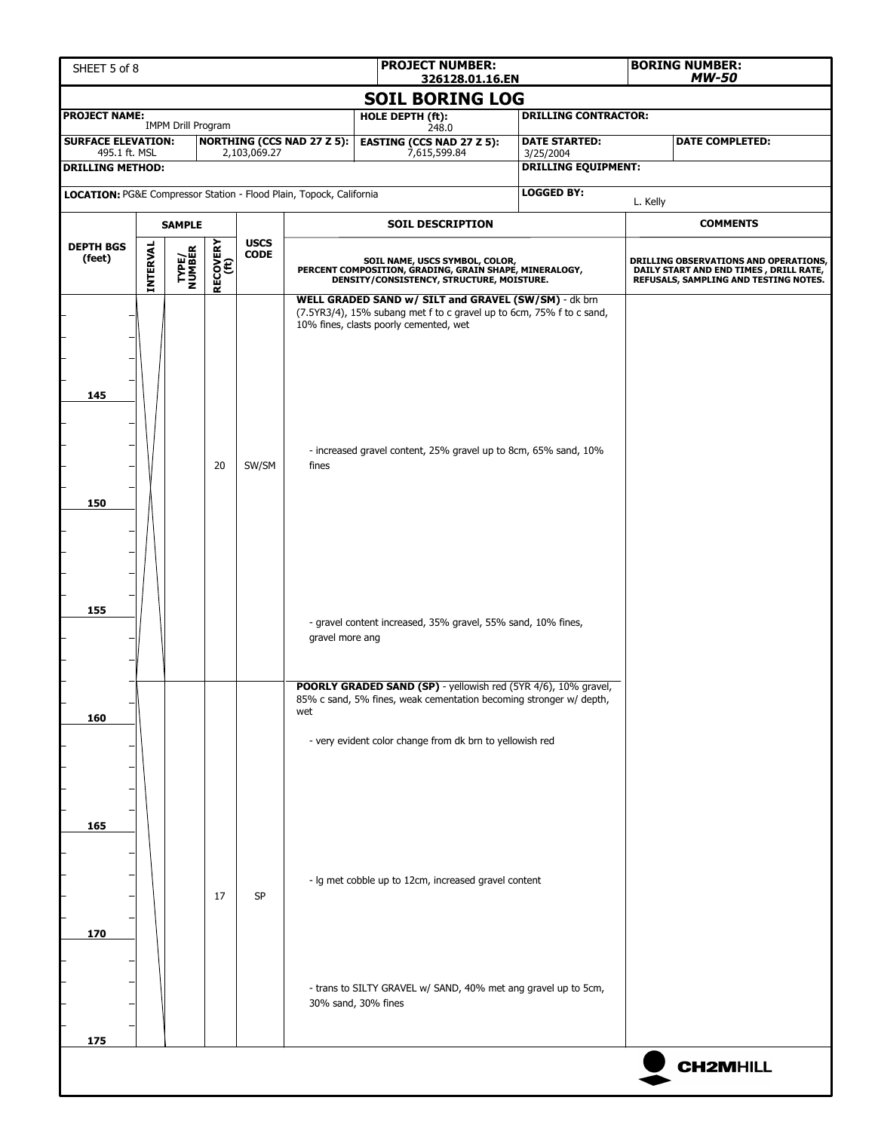|                                                                     | <b>PROJECT NUMBER:</b><br>SHEET 5 of 8<br>326128.01.16.EN |                           |                  |              |                                   |                                                                                                                                                                                                                                           |                                         |  | <b>BORING NUMBER:</b><br>MW-50                                                                                           |  |
|---------------------------------------------------------------------|-----------------------------------------------------------|---------------------------|------------------|--------------|-----------------------------------|-------------------------------------------------------------------------------------------------------------------------------------------------------------------------------------------------------------------------------------------|-----------------------------------------|--|--------------------------------------------------------------------------------------------------------------------------|--|
|                                                                     |                                                           |                           |                  |              |                                   | <b>SOIL BORING LOG</b>                                                                                                                                                                                                                    |                                         |  |                                                                                                                          |  |
| <b>PROJECT NAME:</b>                                                |                                                           | <b>IMPM Drill Program</b> |                  |              |                                   | HOLE DEPTH (ft):<br>248.0                                                                                                                                                                                                                 | <b>DRILLING CONTRACTOR:</b>             |  |                                                                                                                          |  |
| <b>SURFACE ELEVATION:</b>                                           |                                                           |                           |                  |              | <b>NORTHING (CCS NAD 27 Z 5):</b> | <b>EASTING (CCS NAD 27 Z 5):</b>                                                                                                                                                                                                          | <b>DATE STARTED:</b>                    |  | <b>DATE COMPLETED:</b>                                                                                                   |  |
| 495.1 ft. MSL<br><b>DRILLING METHOD:</b>                            |                                                           |                           |                  | 2,103,069.27 |                                   | 7,615,599.84                                                                                                                                                                                                                              | 3/25/2004<br><b>DRILLING EQUIPMENT:</b> |  |                                                                                                                          |  |
| LOCATION: PG&E Compressor Station - Flood Plain, Topock, California |                                                           |                           |                  |              |                                   |                                                                                                                                                                                                                                           | <b>LOGGED BY:</b>                       |  |                                                                                                                          |  |
|                                                                     |                                                           |                           |                  |              |                                   |                                                                                                                                                                                                                                           | L. Kelly                                |  |                                                                                                                          |  |
|                                                                     |                                                           | <b>SAMPLE</b>             |                  | <b>USCS</b>  |                                   | <b>SOIL DESCRIPTION</b>                                                                                                                                                                                                                   |                                         |  | <b>COMMENTS</b>                                                                                                          |  |
| <b>DEPTH BGS</b><br>(feet)                                          | INTERVAL                                                  | <b>TYPE/<br/>NUMBER</b>   | RECOVERY<br>(ft) | <b>CODE</b>  |                                   | SOIL NAME, USCS SYMBOL, COLOR,<br>PERCENT COMPOSITION, GRADING, GRAIN SHAPE, MINERALOGY,<br>DENSITY/CONSISTENCY, STRUCTURE, MOISTURE.                                                                                                     |                                         |  | DRILLING OBSERVATIONS AND OPERATIONS,<br>DAILY START AND END TIMES, DRILL RATE,<br>REFUSALS, SAMPLING AND TESTING NOTES. |  |
| 145                                                                 |                                                           |                           | 20               | SW/SM        | fines                             | WELL GRADED SAND w/ SILT and GRAVEL (SW/SM) - dk brn<br>(7.5YR3/4), 15% subang met f to c gravel up to 6cm, 75% f to c sand,<br>10% fines, clasts poorly cemented, wet<br>- increased gravel content, 25% gravel up to 8cm, 65% sand, 10% |                                         |  |                                                                                                                          |  |
| 150                                                                 |                                                           |                           |                  |              |                                   |                                                                                                                                                                                                                                           |                                         |  |                                                                                                                          |  |
| 155                                                                 |                                                           |                           |                  |              | gravel more ang                   | - gravel content increased, 35% gravel, 55% sand, 10% fines,                                                                                                                                                                              |                                         |  |                                                                                                                          |  |
| 160                                                                 |                                                           |                           |                  |              | wet                               | POORLY GRADED SAND (SP) - yellowish red (5YR 4/6), 10% gravel,<br>85% c sand, 5% fines, weak cementation becoming stronger w/ depth,<br>- very evident color change from dk brn to yellowish red                                          |                                         |  |                                                                                                                          |  |
| 165                                                                 |                                                           |                           |                  |              |                                   |                                                                                                                                                                                                                                           |                                         |  |                                                                                                                          |  |
| 170                                                                 |                                                           |                           | 17               | <b>SP</b>    |                                   | - Ig met cobble up to 12cm, increased gravel content                                                                                                                                                                                      |                                         |  |                                                                                                                          |  |
| 175                                                                 |                                                           |                           |                  |              |                                   | - trans to SILTY GRAVEL w/ SAND, 40% met ang gravel up to 5cm,<br>30% sand, 30% fines                                                                                                                                                     |                                         |  |                                                                                                                          |  |
|                                                                     |                                                           |                           |                  |              |                                   |                                                                                                                                                                                                                                           |                                         |  | <b>CH2MHILL</b>                                                                                                          |  |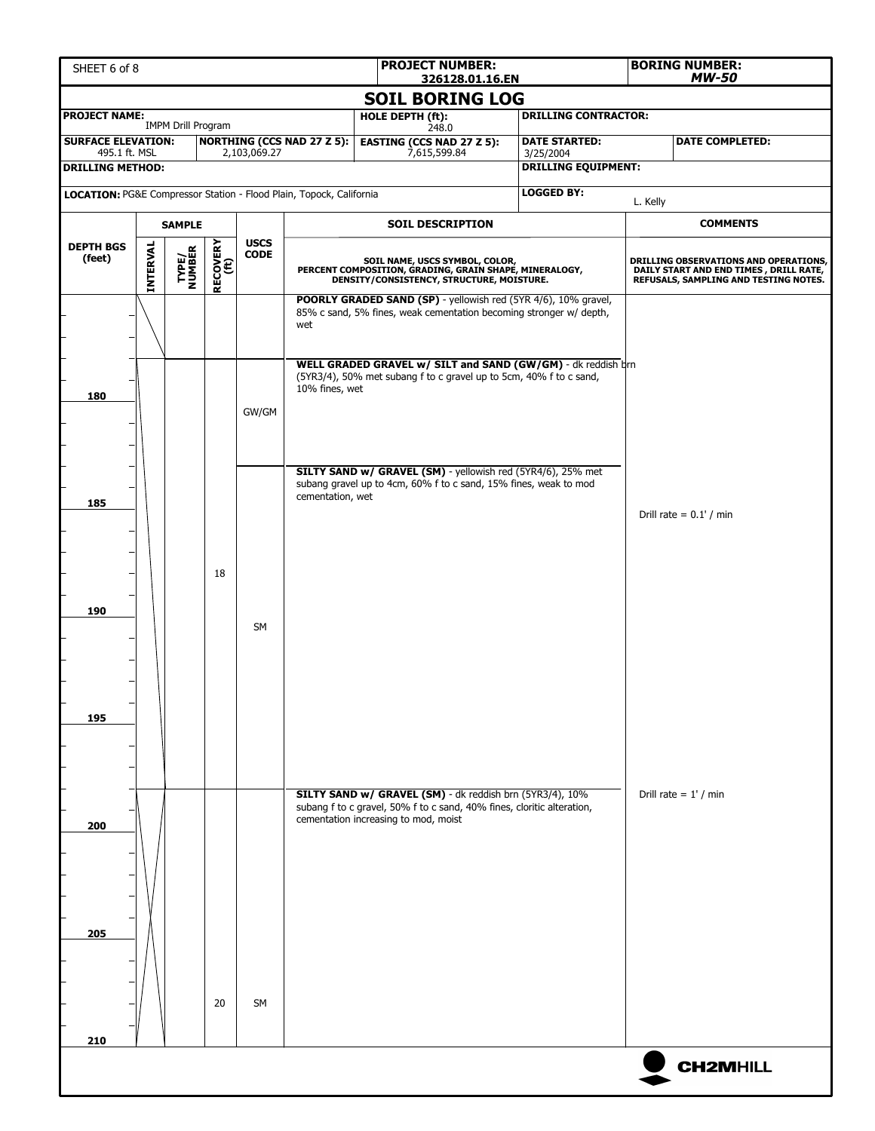| <b>PROJECT NUMBER:</b><br>SHEET 6 of 8<br>326128.01.16.EN           |          |                           |                  |              |                                      |                                                                                                                                       |                           |                                  |                                                                                                                                                                                                      | <b>BORING NUMBER:</b><br>MW-50 |                                                                                                                          |  |  |
|---------------------------------------------------------------------|----------|---------------------------|------------------|--------------|--------------------------------------|---------------------------------------------------------------------------------------------------------------------------------------|---------------------------|----------------------------------|------------------------------------------------------------------------------------------------------------------------------------------------------------------------------------------------------|--------------------------------|--------------------------------------------------------------------------------------------------------------------------|--|--|
|                                                                     |          |                           |                  |              |                                      |                                                                                                                                       |                           | <b>SOIL BORING LOG</b>           |                                                                                                                                                                                                      |                                |                                                                                                                          |  |  |
| <b>PROJECT NAME:</b>                                                |          | <b>IMPM Drill Program</b> |                  |              |                                      |                                                                                                                                       | HOLE DEPTH (ft):<br>248.0 |                                  | <b>DRILLING CONTRACTOR:</b>                                                                                                                                                                          |                                |                                                                                                                          |  |  |
| <b>SURFACE ELEVATION:</b><br>495.1 ft. MSL                          |          |                           |                  | 2,103,069.27 | <b>NORTHING (CCS NAD 27 Z 5):</b>    |                                                                                                                                       | 7,615,599.84              | <b>EASTING (CCS NAD 27 Z 5):</b> | <b>DATE STARTED:</b>                                                                                                                                                                                 |                                | <b>DATE COMPLETED:</b>                                                                                                   |  |  |
| <b>DRILLING METHOD:</b>                                             |          |                           |                  |              |                                      |                                                                                                                                       |                           |                                  | 3/25/2004<br><b>DRILLING EQUIPMENT:</b>                                                                                                                                                              |                                |                                                                                                                          |  |  |
| LOCATION: PG&E Compressor Station - Flood Plain, Topock, California |          |                           |                  |              |                                      |                                                                                                                                       |                           | <b>LOGGED BY:</b>                | L. Kelly                                                                                                                                                                                             |                                |                                                                                                                          |  |  |
|                                                                     |          | <b>SAMPLE</b>             |                  |              |                                      | <b>SOIL DESCRIPTION</b>                                                                                                               |                           |                                  |                                                                                                                                                                                                      |                                | <b>COMMENTS</b>                                                                                                          |  |  |
| <b>DEPTH BGS</b>                                                    |          |                           |                  | <b>USCS</b>  |                                      |                                                                                                                                       |                           |                                  |                                                                                                                                                                                                      |                                |                                                                                                                          |  |  |
| (feet)                                                              | INTERVAL | TYPE/<br>NUMBER           | RECOVERY<br>(ft) | <b>CODE</b>  |                                      | SOIL NAME, USCS SYMBOL, COLOR,<br>PERCENT COMPOSITION, GRADING, GRAIN SHAPE, MINERALOGY,<br>DENSITY/CONSISTENCY, STRUCTURE, MOISTURE. |                           |                                  |                                                                                                                                                                                                      |                                | DRILLING OBSERVATIONS AND OPERATIONS,<br>DAILY START AND END TIMES, DRILL RATE,<br>REFUSALS, SAMPLING AND TESTING NOTES. |  |  |
|                                                                     |          |                           |                  |              | wet                                  |                                                                                                                                       |                           |                                  | POORLY GRADED SAND (SP) - yellowish red (5YR 4/6), 10% gravel,<br>85% c sand, 5% fines, weak cementation becoming stronger w/ depth,<br>WELL GRADED GRAVEL w/ SILT and SAND (GW/GM) - dk reddish drn |                                |                                                                                                                          |  |  |
| 180                                                                 |          |                           |                  | GW/GM        | 10% fines, wet                       |                                                                                                                                       |                           |                                  | (5YR3/4), 50% met subang f to c gravel up to 5cm, 40% f to c sand,                                                                                                                                   |                                |                                                                                                                          |  |  |
| 185                                                                 |          |                           |                  |              | cementation, wet                     |                                                                                                                                       |                           |                                  | SILTY SAND w/ GRAVEL (SM) - yellowish red (5YR4/6), 25% met<br>subang gravel up to 4cm, 60% f to c sand, 15% fines, weak to mod                                                                      | Drill rate = $0.1'$ / min      |                                                                                                                          |  |  |
| 190                                                                 |          |                           | 18               | <b>SM</b>    |                                      |                                                                                                                                       |                           |                                  |                                                                                                                                                                                                      |                                |                                                                                                                          |  |  |
| 195                                                                 |          |                           |                  |              |                                      |                                                                                                                                       |                           |                                  |                                                                                                                                                                                                      |                                |                                                                                                                          |  |  |
| 200                                                                 |          |                           |                  |              | cementation increasing to mod, moist |                                                                                                                                       |                           |                                  | SILTY SAND w/ GRAVEL (SM) - dk reddish brn (5YR3/4), 10%<br>subang f to c gravel, 50% f to c sand, 40% fines, cloritic alteration,                                                                   |                                | Drill rate = $1'$ / min                                                                                                  |  |  |
| 205                                                                 |          |                           |                  |              |                                      |                                                                                                                                       |                           |                                  |                                                                                                                                                                                                      |                                |                                                                                                                          |  |  |
|                                                                     |          |                           | 20               | SM           |                                      |                                                                                                                                       |                           |                                  |                                                                                                                                                                                                      |                                |                                                                                                                          |  |  |
| 210                                                                 |          |                           |                  |              |                                      |                                                                                                                                       |                           |                                  |                                                                                                                                                                                                      |                                |                                                                                                                          |  |  |
|                                                                     |          |                           |                  |              |                                      |                                                                                                                                       |                           |                                  |                                                                                                                                                                                                      |                                | <b>CH2MHILL</b>                                                                                                          |  |  |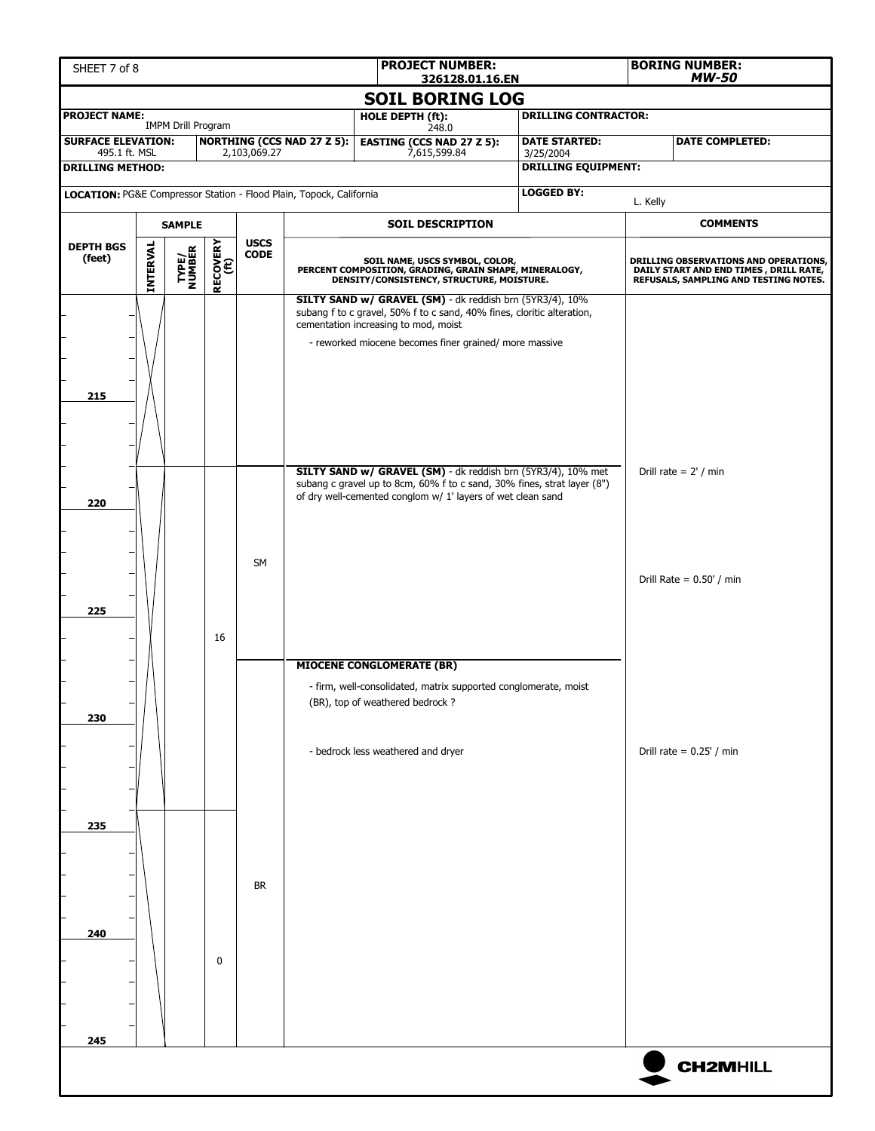| <b>PROJECT NUMBER:</b><br>SHEET 7 of 8<br>326128.01.16.EN           |          |                           |                  |                            |                                   |                                                                                                                                                                                                                                      |                                                                                                                           |                            | <b>BORING NUMBER:</b><br><b>MW-50</b> |  |
|---------------------------------------------------------------------|----------|---------------------------|------------------|----------------------------|-----------------------------------|--------------------------------------------------------------------------------------------------------------------------------------------------------------------------------------------------------------------------------------|---------------------------------------------------------------------------------------------------------------------------|----------------------------|---------------------------------------|--|
|                                                                     |          |                           |                  |                            |                                   | <b>SOIL BORING LOG</b>                                                                                                                                                                                                               |                                                                                                                           |                            |                                       |  |
| <b>PROJECT NAME:</b>                                                |          | <b>IMPM Drill Program</b> |                  |                            |                                   | HOLE DEPTH (ft):                                                                                                                                                                                                                     | <b>DRILLING CONTRACTOR:</b>                                                                                               |                            |                                       |  |
| <b>SURFACE ELEVATION:</b>                                           |          |                           |                  |                            | <b>NORTHING (CCS NAD 27 Z 5):</b> | 248.0<br><b>EASTING (CCS NAD 27 Z 5):</b>                                                                                                                                                                                            | <b>DATE STARTED:</b>                                                                                                      |                            | <b>DATE COMPLETED:</b>                |  |
| 495.1 ft. MSL<br><b>DRILLING METHOD:</b>                            |          |                           |                  | 2,103,069.27               |                                   | 7,615,599.84                                                                                                                                                                                                                         | 3/25/2004<br><b>DRILLING EQUIPMENT:</b>                                                                                   |                            |                                       |  |
| LOCATION: PG&E Compressor Station - Flood Plain, Topock, California |          |                           |                  |                            |                                   |                                                                                                                                                                                                                                      | <b>LOGGED BY:</b>                                                                                                         |                            |                                       |  |
|                                                                     |          |                           |                  |                            |                                   |                                                                                                                                                                                                                                      |                                                                                                                           | L. Kelly                   |                                       |  |
|                                                                     |          | <b>SAMPLE</b>             |                  |                            |                                   | <b>SOIL DESCRIPTION</b>                                                                                                                                                                                                              |                                                                                                                           |                            | <b>COMMENTS</b>                       |  |
| <b>DEPTH BGS</b><br>(feet)                                          | INTERVAL | <b>TYPE/<br/>NUMBER</b>   | RECOVERY<br>(ft) | <b>USCS</b><br><b>CODE</b> |                                   | SOIL NAME, USCS SYMBOL, COLOR,<br>PERCENT COMPOSITION, GRADING, GRAIN SHAPE, MINERALOGY,<br>DENSITY/CONSISTENCY, STRUCTURE, MOISTURE.                                                                                                | DRILLING OBSERVATIONS AND OPERATIONS,<br>DAILY START AND END TIMES , DRILL RATE,<br>REFUSALS, SAMPLING AND TESTING NOTES. |                            |                                       |  |
| 215                                                                 |          |                           |                  |                            |                                   | SILTY SAND w/ GRAVEL (SM) - dk reddish brn (5YR3/4), 10%<br>subang f to c gravel, 50% f to c sand, 40% fines, cloritic alteration,<br>cementation increasing to mod, moist<br>- reworked miocene becomes finer grained/ more massive |                                                                                                                           |                            |                                       |  |
| 220                                                                 |          |                           |                  |                            |                                   | SILTY SAND w/ GRAVEL (SM) - dk reddish brn (5YR3/4), 10% met<br>subang c gravel up to 8cm, 60% f to c sand, 30% fines, strat layer (8")<br>of dry well-cemented conglom w/ 1' layers of wet clean sand                               |                                                                                                                           |                            | Drill rate = $2'$ / min               |  |
| 225                                                                 |          |                           | 16               | <b>SM</b>                  |                                   |                                                                                                                                                                                                                                      |                                                                                                                           |                            | Drill Rate = $0.50'$ / min            |  |
| 230                                                                 |          |                           |                  |                            |                                   | <b>MIOCENE CONGLOMERATE (BR)</b><br>- firm, well-consolidated, matrix supported conglomerate, moist<br>(BR), top of weathered bedrock?<br>- bedrock less weathered and dryer                                                         |                                                                                                                           | Drill rate = $0.25'$ / min |                                       |  |
| 235                                                                 |          |                           |                  |                            |                                   |                                                                                                                                                                                                                                      |                                                                                                                           |                            |                                       |  |
| 240<br>245                                                          |          |                           | $\mathbf 0$      | <b>BR</b>                  |                                   |                                                                                                                                                                                                                                      |                                                                                                                           |                            |                                       |  |
|                                                                     |          |                           |                  |                            |                                   |                                                                                                                                                                                                                                      |                                                                                                                           |                            | <b>CH2MHILL</b>                       |  |
|                                                                     |          |                           |                  |                            |                                   |                                                                                                                                                                                                                                      |                                                                                                                           |                            |                                       |  |